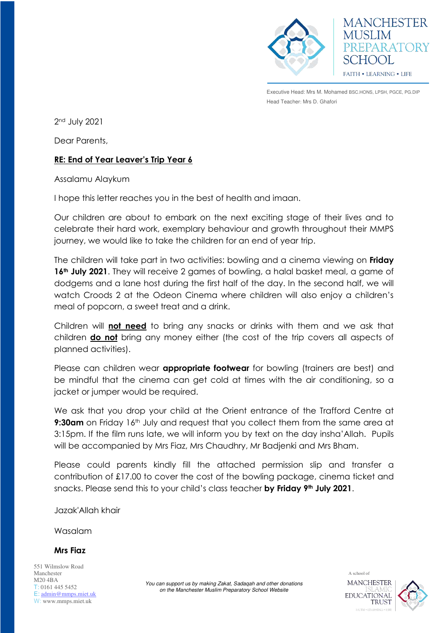

Executive Head: Mrs M. Mohamed BSC.HONS, LPSH, PGCE, PG.DIP Head Teacher: Mrs D. Ghafori

**MANCHESTER** 

PREPARATORY

**MUSLIM** 

SCHOOL

FAITH . LEARNING . LIFE

2nd July 2021

Dear Parents,

## **RE: End of Year Leaver's Trip Year 6**

Assalamu Alaykum

I hope this letter reaches you in the best of health and imaan.

Our children are about to embark on the next exciting stage of their lives and to celebrate their hard work, exemplary behaviour and growth throughout their MMPS journey, we would like to take the children for an end of year trip.

The children will take part in two activities: bowling and a cinema viewing on **Friday 16th July 2021**. They will receive 2 games of bowling, a halal basket meal, a game of dodgems and a lane host during the first half of the day. In the second half, we will watch Croods 2 at the Odeon Cinema where children will also enjoy a children's meal of popcorn, a sweet treat and a drink.

Children will **not need** to bring any snacks or drinks with them and we ask that children **do not** bring any money either (the cost of the trip covers all aspects of planned activities).

Please can children wear **appropriate footwear** for bowling (trainers are best) and be mindful that the cinema can get cold at times with the air conditioning, so a jacket or jumper would be required.

We ask that you drop your child at the Orient entrance of the Trafford Centre at **9:30am** on Friday 16<sup>th</sup> July and request that you collect them from the same area at 3:15pm. If the film runs late, we will inform you by text on the day insha'Allah. Pupils will be accompanied by Mrs Fiaz, Mrs Chaudhry, Mr Badjenki and Mrs Bham.

Please could parents kindly fill the attached permission slip and transfer a contribution of £17.00 to cover the cost of the bowling package, cinema ticket and snacks. Please send this to your child's class teacher **by Friday 9th July 2021**.

Jazak'Allah khair

Wasalam

**Mrs Fiaz** 

551 Wilmslow Road Manchester M20 4BA T: 0161 445 5452 E: [admin@mmps.miet.uk](mailto:admin@mmps.miet.uk) W: www.mmps.miet.uk